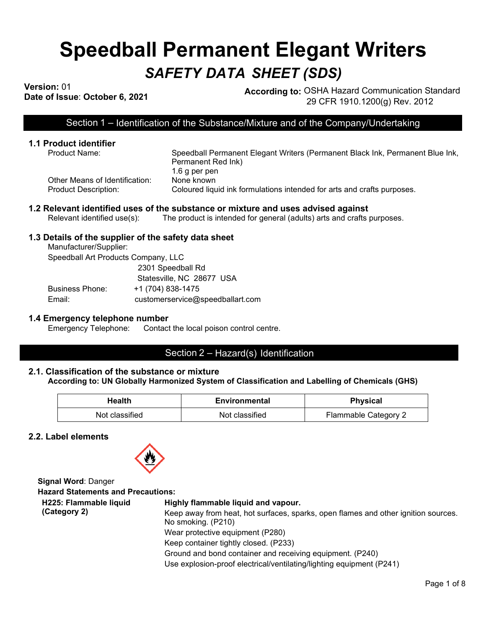# **Speedball Permanent Elegant Writers** *SAFETY DATA SHEET (SDS)*

**Version:** 01

**Dression:** 01<br>Date of Issue: October 6, 2021 **According to:** OSHA Hazard Communication Standard 29 CFR 1910.1200(g) Rev. 2012

l

Section 1 – Identification of the Substance/Mixture and of the Company/Undertaking

## **1.1 Product identifier**

Other Means of Identification: None known

Speedball Permanent Elegant Writers (Permanent Black Ink, Permanent Blue Ink, Permanent Red Ink) 1.6 g per pen Product Description: Coloured liquid ink formulations intended for arts and crafts purposes.

## **1.2 Relevant identified uses of the substance or mixture and uses advised against**<br>Relevant identified use(s): The product is intended for general (adults) arts and crafts **product**

The product is intended for general (adults) arts and crafts purposes.

### **1.3 Details of the supplier of the safety data sheet**

Manufacturer/Supplier: Speedball Art Products Company, LLC 2301 Speedball Rd Statesville, NC 28677 USA Business Phone: +1 (704) 838-1475 Email: customerservice@speedballart.com

### **1.4 Emergency telephone number**

Emergency Telephone: Contact the local poison control centre.

### Section 2 – Hazard(s) Identification

### **2.1. Classification of the substance or mixture According to: UN Globally Harmonized System of Classification and Labelling of Chemicals (GHS)**

| Health         | Environmental  | <b>Physical</b>      |
|----------------|----------------|----------------------|
| Not classified | Not classified | Flammable Category 2 |

**2.2. Label elements**



**Signal Word**: Danger **Hazard Statements and Precautions: H225: Flammable liquid (Category 2) Highly flammable liquid and vapour.** Keep away from heat, hot surfaces, sparks, open flames and other ignition sources. No smoking. (P210) Wear protective equipment (P280) Keep container tightly closed. (P233) Ground and bond container and receiving equipment. (P240) Use explosion-proof electrical/ventilating/lighting equipment (P241)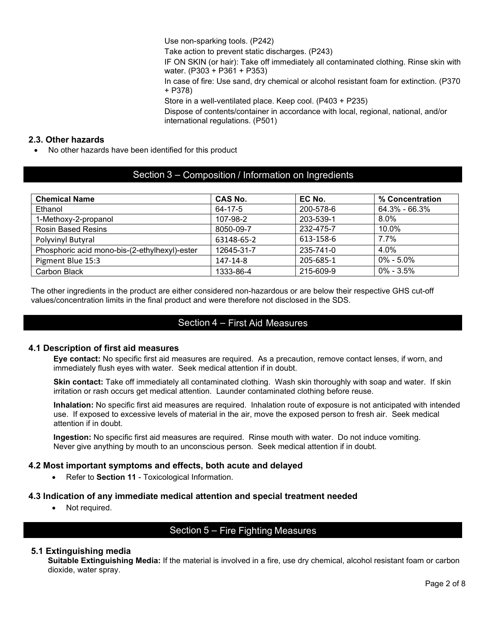Use non-sparking tools. (P242)

Take action to prevent static discharges. (P243)

IF ON SKIN (or hair): Take off immediately all contaminated clothing. Rinse skin with water. (P303 + P361 + P353)

In case of fire: Use sand, dry chemical or alcohol resistant foam for extinction. (P370 + P378)

Store in a well-ventilated place. Keep cool. (P403 + P235)

Dispose of contents/container in accordance with local, regional, national, and/or international regulations. (P501)

### **2.3. Other hazards**

• No other hazards have been identified for this product

### Section 3 – Composition / Information on Ingredients

| <b>Chemical Name</b>                          | <b>CAS No.</b> | EC No.    | % Concentration   |
|-----------------------------------------------|----------------|-----------|-------------------|
| Ethanol                                       | 64-17-5        | 200-578-6 | $64.3\% - 66.3\%$ |
| 1-Methoxy-2-propanol                          | 107-98-2       | 203-539-1 | $8.0\%$           |
| <b>Rosin Based Resins</b>                     | 8050-09-7      | 232-475-7 | 10.0%             |
| Polyvinyl Butyral                             | 63148-65-2     | 613-158-6 | 7.7%              |
| Phosphoric acid mono-bis-(2-ethylhexyl)-ester | 12645-31-7     | 235-741-0 | 4.0%              |
| Pigment Blue 15:3                             | 147-14-8       | 205-685-1 | $0\% - 5.0\%$     |
| Carbon Black                                  | 1333-86-4      | 215-609-9 | $0\% - 3.5\%$     |

The other ingredients in the product are either considered non-hazardous or are below their respective GHS cut-off values/concentration limits in the final product and were therefore not disclosed in the SDS.

### Section 4 – First Aid Measures

### **4.1 Description of first aid measures**

**Eye contact:** No specific first aid measures are required. As a precaution, remove contact lenses, if worn, and immediately flush eyes with water. Seek medical attention if in doubt.

**Skin contact:** Take off immediately all contaminated clothing. Wash skin thoroughly with soap and water. If skin irritation or rash occurs get medical attention. Launder contaminated clothing before reuse.

**Inhalation:** No specific first aid measures are required. Inhalation route of exposure is not anticipated with intended use. If exposed to excessive levels of material in the air, move the exposed person to fresh air. Seek medical attention if in doubt.

**Ingestion:** No specific first aid measures are required. Rinse mouth with water. Do not induce vomiting. Never give anything by mouth to an unconscious person. Seek medical attention if in doubt.

### **4.2 Most important symptoms and effects, both acute and delayed**

• Refer to **Section 11** - Toxicological Information.

### **4.3 Indication of any immediate medical attention and special treatment needed**

• Not required.

### Section 5 – Fire Fighting Measures

### **5.1 Extinguishing media**

**Suitable Extinguishing Media:** If the material is involved in a fire, use dry chemical, alcohol resistant foam or carbon dioxide, water spray.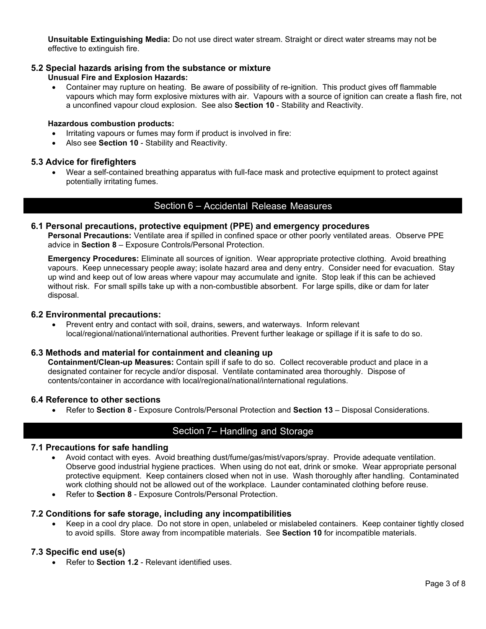**Unsuitable Extinguishing Media:** Do not use direct water stream. Straight or direct water streams may not be effective to extinguish fire.

### **5.2 Special hazards arising from the substance or mixture**

### **Unusual Fire and Explosion Hazards:**

• Container may rupture on heating. Be aware of possibility of re-ignition. This product gives off flammable vapours which may form explosive mixtures with air. Vapours with a source of ignition can create a flash fire, not a unconfined vapour cloud explosion. See also **Section 10** - Stability and Reactivity.

#### **Hazardous combustion products:**

- Irritating vapours or fumes may form if product is involved in fire:
- Also see **Section 10** Stability and Reactivity.

### **5.3 Advice for firefighters**

• Wear a self-contained breathing apparatus with full-face mask and protective equipment to protect against potentially irritating fumes.

### Section 6 – Accidental Release Measures

### **6.1 Personal precautions, protective equipment (PPE) and emergency procedures**

**Personal Precautions:** Ventilate area if spilled in confined space or other poorly ventilated areas. Observe PPE advice in **Section 8** – Exposure Controls/Personal Protection.

**Emergency Procedures:** Eliminate all sources of ignition. Wear appropriate protective clothing. Avoid breathing vapours. Keep unnecessary people away; isolate hazard area and deny entry. Consider need for evacuation. Stay up wind and keep out of low areas where vapour may accumulate and ignite. Stop leak if this can be achieved without risk. For small spills take up with a non-combustible absorbent. For large spills, dike or dam for later disposal.

#### **6.2 Environmental precautions:**

• Prevent entry and contact with soil, drains, sewers, and waterways. Inform relevant local/regional/national/international authorities. Prevent further leakage or spillage if it is safe to do so.

### **6.3 Methods and material for containment and cleaning up**

**Containment/Clean-up Measures:** Contain spill if safe to do so. Collect recoverable product and place in a designated container for recycle and/or disposal. Ventilate contaminated area thoroughly. Dispose of contents/container in accordance with local/regional/national/international regulations.

### **6.4 Reference to other sections**

• Refer to **Section 8** - Exposure Controls/Personal Protection and **Section 13** – Disposal Considerations.

### Section 7– Handling and Storage

### **7.1 Precautions for safe handling**

- Avoid contact with eyes. Avoid breathing dust/fume/gas/mist/vapors/spray. Provide adequate ventilation. Observe good industrial hygiene practices. When using do not eat, drink or smoke. Wear appropriate personal protective equipment. Keep containers closed when not in use. Wash thoroughly after handling. Contaminated work clothing should not be allowed out of the workplace. Launder contaminated clothing before reuse.
- Refer to **Section 8** Exposure Controls/Personal Protection.

### **7.2 Conditions for safe storage, including any incompatibilities**

• Keep in a cool dry place. Do not store in open, unlabeled or mislabeled containers. Keep container tightly closed to avoid spills. Store away from incompatible materials. See **Section 10** for incompatible materials.

### **7.3 Specific end use(s)**

• Refer to **Section 1.2** - Relevant identified uses.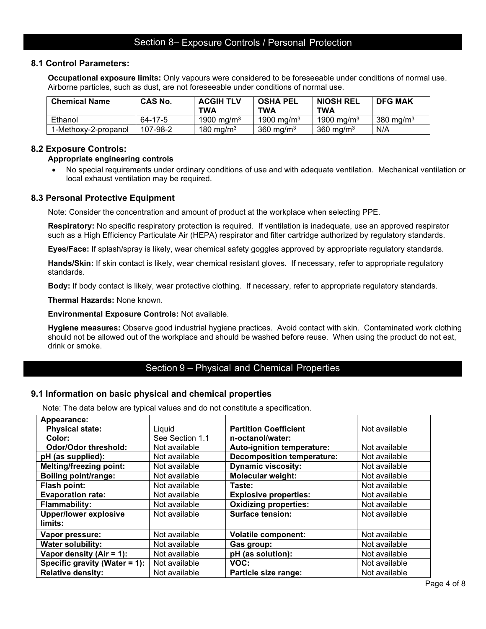### Section 8– Exposure Controls / Personal Protection

### **8.1 Control Parameters:**

**Occupational exposure limits:** Only vapours were considered to be foreseeable under conditions of normal use. Airborne particles, such as dust, are not foreseeable under conditions of normal use.

| <b>Chemical Name</b> | <b>CAS No.</b> | <b>ACGIH TLV</b><br><b>TWA</b> | <b>OSHA PEL</b><br>TWA | <b>NIOSH REL</b><br>TWA | <b>DFG MAK</b> |
|----------------------|----------------|--------------------------------|------------------------|-------------------------|----------------|
| Ethanol              | 64-17-5        | 1900 mg/m <sup>3</sup>         | 1900 mg/m <sup>3</sup> | 1900 mg/m <sup>3</sup>  | 380 mg/m $3$   |
| 1-Methoxy-2-propanol | 107-98-2       | 180 mg/m $3$                   | 360 mg/m $3$           | 360 mg/m $3$            | N/A            |

### **8.2 Exposure Controls:**

#### **Appropriate engineering controls**

• No special requirements under ordinary conditions of use and with adequate ventilation. Mechanical ventilation or local exhaust ventilation may be required.

#### **8.3 Personal Protective Equipment**

Note: Consider the concentration and amount of product at the workplace when selecting PPE.

**Respiratory:** No specific respiratory protection is required. If ventilation is inadequate, use an approved respirator such as a High Efficiency Particulate Air (HEPA) respirator and filter cartridge authorized by regulatory standards.

**Eyes/Face:** If splash/spray is likely, wear chemical safety goggles approved by appropriate regulatory standards.

**Hands/Skin:** If skin contact is likely, wear chemical resistant gloves. If necessary, refer to appropriate regulatory standards.

**Body:** If body contact is likely, wear protective clothing. If necessary, refer to appropriate regulatory standards.

**Thermal Hazards:** None known.

**Environmental Exposure Controls:** Not available.

**Hygiene measures:** Observe good industrial hygiene practices. Avoid contact with skin. Contaminated work clothing should not be allowed out of the workplace and should be washed before reuse. When using the product do not eat, drink or smoke.

### Section 9 – Physical and Chemical Properties

#### **9.1 Information on basic physical and chemical properties**

Note: The data below are typical values and do not constitute a specification.

| Appearance:                    |                 |                                   |               |
|--------------------------------|-----------------|-----------------------------------|---------------|
| <b>Physical state:</b>         | Liquid          | <b>Partition Coefficient</b>      | Not available |
| Color:                         | See Section 1.1 | n-octanol/water:                  |               |
| Odor/Odor threshold:           | Not available   | Auto-ignition temperature:        | Not available |
| pH (as supplied):              | Not available   | <b>Decomposition temperature:</b> | Not available |
| <b>Melting/freezing point:</b> | Not available   | <b>Dynamic viscosity:</b>         | Not available |
| <b>Boiling point/range:</b>    | Not available   | <b>Molecular weight:</b>          | Not available |
| Flash point:                   | Not available   | Taste:                            | Not available |
| <b>Evaporation rate:</b>       | Not available   | <b>Explosive properties:</b>      | Not available |
| <b>Flammability:</b>           | Not available   | <b>Oxidizing properties:</b>      | Not available |
| <b>Upper/lower explosive</b>   | Not available   | Surface tension:                  | Not available |
| limits:                        |                 |                                   |               |
| Vapor pressure:                | Not available   | <b>Volatile component:</b>        | Not available |
| <b>Water solubility:</b>       | Not available   | Gas group:                        | Not available |
| Vapor density $(Air = 1)$ :    | Not available   | pH (as solution):                 | Not available |
| Specific gravity (Water = 1):  | Not available   | VOC:                              | Not available |
| <b>Relative density:</b>       | Not available   | Particle size range:              | Not available |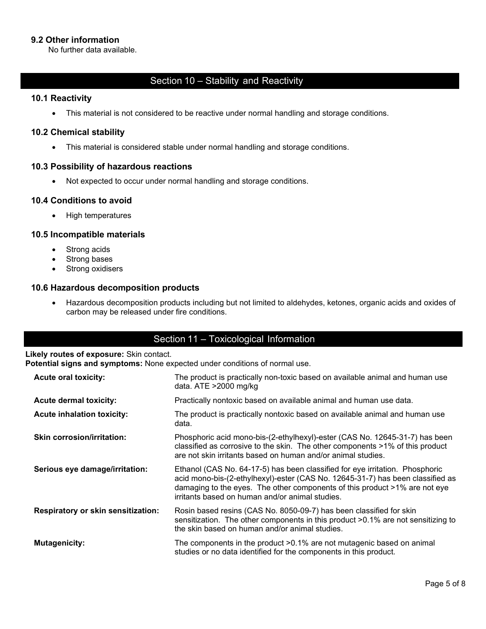### **9.2 Other information**

No further data available.

### Section 10 – Stability and Reactivity

### **10.1 Reactivity**

• This material is not considered to be reactive under normal handling and storage conditions.

### **10.2 Chemical stability**

• This material is considered stable under normal handling and storage conditions.

### **10.3 Possibility of hazardous reactions**

• Not expected to occur under normal handling and storage conditions.

### **10.4 Conditions to avoid**

• High temperatures

### **10.5 Incompatible materials**

- Strong acids
- Strong bases
- Strong oxidisers

### **10.6 Hazardous decomposition products**

• Hazardous decomposition products including but not limited to aldehydes, ketones, organic acids and oxides of carbon may be released under fire conditions.

### Section 11 – Toxicological Information

### **Likely routes of exposure:** Skin contact.

**Potential signs and symptoms:** None expected under conditions of normal use.

| <b>Acute oral toxicity:</b>        | The product is practically non-toxic based on available animal and human use<br>data. ATE >2000 mg/kg                                                                                                                                                                                           |
|------------------------------------|-------------------------------------------------------------------------------------------------------------------------------------------------------------------------------------------------------------------------------------------------------------------------------------------------|
| <b>Acute dermal toxicity:</b>      | Practically nontoxic based on available animal and human use data.                                                                                                                                                                                                                              |
| <b>Acute inhalation toxicity:</b>  | The product is practically nontoxic based on available animal and human use<br>data.                                                                                                                                                                                                            |
| <b>Skin corrosion/irritation:</b>  | Phosphoric acid mono-bis-(2-ethylhexyl)-ester (CAS No. 12645-31-7) has been<br>classified as corrosive to the skin. The other components >1% of this product<br>are not skin irritants based on human and/or animal studies.                                                                    |
| Serious eye damage/irritation:     | Ethanol (CAS No. 64-17-5) has been classified for eye irritation. Phosphoric<br>acid mono-bis-(2-ethylhexyl)-ester (CAS No. 12645-31-7) has been classified as<br>damaging to the eyes. The other components of this product >1% are not eye<br>irritants based on human and/or animal studies. |
| Respiratory or skin sensitization: | Rosin based resins (CAS No. 8050-09-7) has been classified for skin<br>sensitization. The other components in this product >0.1% are not sensitizing to<br>the skin based on human and/or animal studies.                                                                                       |
| <b>Mutagenicity:</b>               | The components in the product >0.1% are not mutagenic based on animal<br>studies or no data identified for the components in this product.                                                                                                                                                      |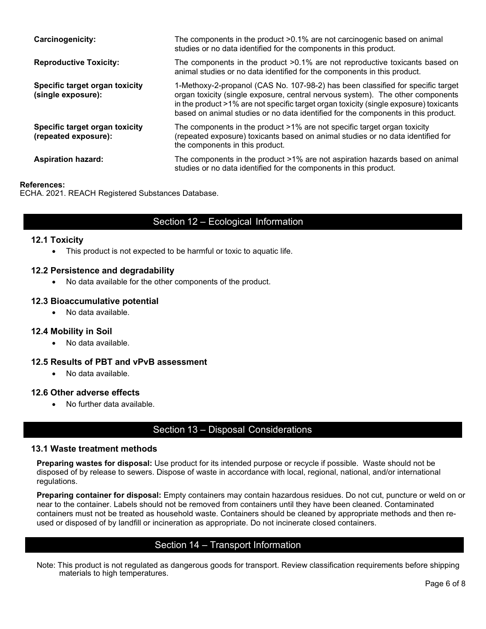| <b>Carcinogenicity:</b>                                | The components in the product >0.1% are not carcinogenic based on animal<br>studies or no data identified for the components in this product.                                                                                                                                                                                                   |
|--------------------------------------------------------|-------------------------------------------------------------------------------------------------------------------------------------------------------------------------------------------------------------------------------------------------------------------------------------------------------------------------------------------------|
| <b>Reproductive Toxicity:</b>                          | The components in the product >0.1% are not reproductive toxicants based on<br>animal studies or no data identified for the components in this product.                                                                                                                                                                                         |
| Specific target organ toxicity<br>(single exposure):   | 1-Methoxy-2-propanol (CAS No. 107-98-2) has been classified for specific target<br>organ toxicity (single exposure, central nervous system). The other components<br>in the product >1% are not specific target organ toxicity (single exposure) toxicants<br>based on animal studies or no data identified for the components in this product. |
| Specific target organ toxicity<br>(repeated exposure): | The components in the product >1% are not specific target organ toxicity<br>(repeated exposure) toxicants based on animal studies or no data identified for<br>the components in this product.                                                                                                                                                  |
| <b>Aspiration hazard:</b>                              | The components in the product >1% are not aspiration hazards based on animal<br>studies or no data identified for the components in this product.                                                                                                                                                                                               |

### **References:**

ECHA. 2021. REACH Registered Substances Database.

### Section 12 – Ecological Information

### **12.1 Toxicity**

• This product is not expected to be harmful or toxic to aquatic life.

### **12.2 Persistence and degradability**

• No data available for the other components of the product.

### **12.3 Bioaccumulative potential**

• No data available.

### **12.4 Mobility in Soil**

• No data available.

### **12.5 Results of PBT and vPvB assessment**

• No data available.

### **12.6 Other adverse effects**

• No further data available.

### Section 13 – Disposal Considerations

#### **13.1 Waste treatment methods**

**Preparing wastes for disposal:** Use product for its intended purpose or recycle if possible. Waste should not be disposed of by release to sewers. Dispose of waste in accordance with local, regional, national, and/or international regulations.

**Preparing container for disposal:** Empty containers may contain hazardous residues. Do not cut, puncture or weld on or near to the container. Labels should not be removed from containers until they have been cleaned. Contaminated containers must not be treated as household waste. Containers should be cleaned by appropriate methods and then reused or disposed of by landfill or incineration as appropriate. Do not incinerate closed containers.

### Section 14 – Transport Information

Note: This product is not regulated as dangerous goods for transport. Review classification requirements before shipping materials to high temperatures.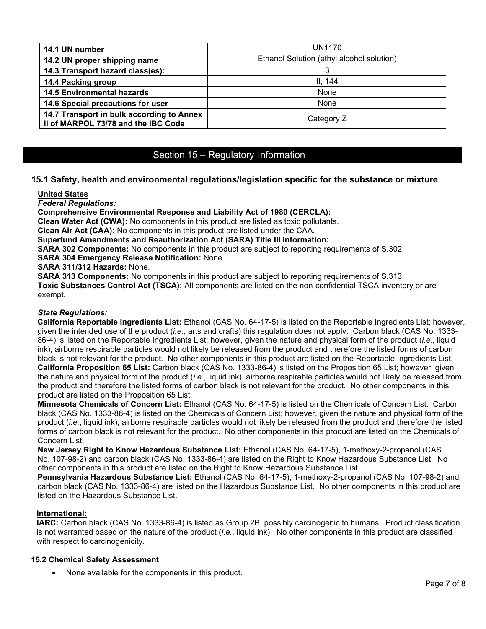| 14.1 UN number                                                                   | <b>UN1170</b>                             |
|----------------------------------------------------------------------------------|-------------------------------------------|
| 14.2 UN proper shipping name                                                     | Ethanol Solution (ethyl alcohol solution) |
| 14.3 Transport hazard class(es):                                                 |                                           |
| 14.4 Packing group                                                               | II. 144                                   |
| <b>14.5 Environmental hazards</b>                                                | None                                      |
| 14.6 Special precautions for user                                                | None                                      |
| 14.7 Transport in bulk according to Annex<br>II of MARPOL 73/78 and the IBC Code | Category Z                                |

### Section 15 – Regulatory Information

### **15.1 Safety, health and environmental regulations/legislation specific for the substance or mixture**

#### **United States**

*Federal Regulations:*

**Comprehensive Environmental Response and Liability Act of 1980 (CERCLA):**

**Clean Water Act (CWA):** No components in this product are listed as toxic pollutants.

**Clean Air Act (CAA):** No components in this product are listed under the CAA.

**Superfund Amendments and Reauthorization Act (SARA) Title III Information:**

**SARA 302 Components:** No components in this product are subject to reporting requirements of S.302.

**SARA 304 Emergency Release Notification:** None.

**SARA 311/312 Hazards:** None.

**SARA 313 Components:** No components in this product are subject to reporting requirements of S.313. **Toxic Substances Control Act (TSCA):** All components are listed on the non-confidential TSCA inventory or are exempt.

### *State Regulations:*

**California Reportable Ingredients List:** Ethanol (CAS No. 64-17-5) is listed on the Reportable Ingredients List; however, given the intended use of the product (*i.e.,* arts and crafts) this regulation does not apply. Carbon black (CAS No. 1333- 86-4) is listed on the Reportable Ingredients List; however, given the nature and physical form of the product (*i.e.*, liquid ink), airborne respirable particles would not likely be released from the product and therefore the listed forms of carbon black is not relevant for the product. No other components in this product are listed on the Reportable Ingredients List. **California Proposition 65 List:** Carbon black (CAS No. 1333-86-4) is listed on the Proposition 65 List; however, given the nature and physical form of the product (*i.e.*, liquid ink), airborne respirable particles would not likely be released from the product and therefore the listed forms of carbon black is not relevant for the product. No other components in this product are listed on the Proposition 65 List.

**Minnesota Chemicals of Concern List:** Ethanol (CAS No. 64-17-5) is listed on the Chemicals of Concern List. Carbon black (CAS No. 1333-86-4) is listed on the Chemicals of Concern List; however, given the nature and physical form of the product (*i.e.*, liquid ink), airborne respirable particles would not likely be released from the product and therefore the listed forms of carbon black is not relevant for the product. No other components in this product are listed on the Chemicals of Concern List.

**New Jersey Right to Know Hazardous Substance List:** Ethanol (CAS No. 64-17-5), 1-methoxy-2-propanol (CAS No. 107-98-2) and carbon black (CAS No. 1333-86-4) are listed on the Right to Know Hazardous Substance List. No other components in this product are listed on the Right to Know Hazardous Substance List.

**Pennsylvania Hazardous Substance List:** Ethanol (CAS No. 64-17-5), 1-methoxy-2-propanol (CAS No. 107-98-2) and carbon black (CAS No. 1333-86-4) are listed on the Hazardous Substance List. No other components in this product are listed on the Hazardous Substance List.

#### **International:**

**IARC:** Carbon black (CAS No. 1333-86-4) is listed as Group 2B, possibly carcinogenic to humans. Product classification is not warranted based on the nature of the product (*i.e.*, liquid ink). No other components in this product are classified with respect to carcinogenicity.

#### **15.2 Chemical Safety Assessment**

• None available for the components in this product.